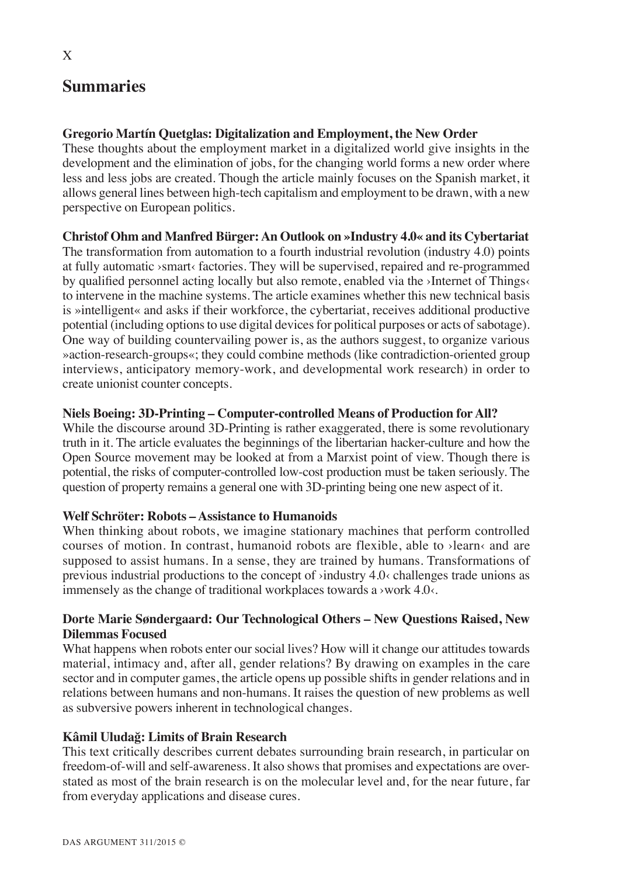## **Summaries**

## **Gregorio Martín Quetglas: Digitalization and Employment, the New Order**

These thoughts about the employment market in a digitalized world give insights in the development and the elimination of jobs, for the changing world forms a new order where less and less jobs are created. Though the article mainly focuses on the Spanish market, it allows general lines between high-tech capitalism and employment to be drawn, with a new perspective on European politics.

## **Christof Ohm and Manfred Bürger: An Outlook on »Industry 4.0« and its Cybertariat**

The transformation from automation to a fourth industrial revolution (industry 4.0) points at fully automatic ›smart‹ factories. They will be supervised, repaired and re-programmed by qualified personnel acting locally but also remote, enabled via the >Internet of Things to intervene in the machine systems. The article examines whether this new technical basis is »intelligent« and asks if their workforce, the cybertariat, receives additional productive potential (including options to use digital devices for political purposes or acts of sabotage). One way of building countervailing power is, as the authors suggest, to organize various »action-research-groups«; they could combine methods (like contradiction-oriented group interviews, anticipatory memory-work, and developmental work research) in order to create unionist counter concepts.

## **Niels Boeing: 3D-Printing – Computer-controlled Means of Production for All?**

While the discourse around 3D-Printing is rather exaggerated, there is some revolutionary truth in it. The article evaluates the beginnings of the libertarian hacker-culture and how the Open Source movement may be looked at from a Marxist point of view. Though there is potential, the risks of computer-controlled low-cost production must be taken seriously. The question of property remains a general one with 3D-printing being one new aspect of it.

#### **Welf Schröter: Robots – Assistance to Humanoids**

When thinking about robots, we imagine stationary machines that perform controlled courses of motion. In contrast, humanoid robots are flexible, able to ›learn‹ and are supposed to assist humans. In a sense, they are trained by humans. Transformations of previous industrial productions to the concept of  $\phi$  industry 4.0 $\phi$  challenges trade unions as immensely as the change of traditional workplaces towards a >work  $4.0<$ .

## **Dorte Marie Søndergaard: Our Technological Others – New Questions Raised, New Dilemmas Focused**

What happens when robots enter our social lives? How will it change our attitudes towards material, intimacy and, after all, gender relations? By drawing on examples in the care sector and in computer games, the article opens up possible shifts in gender relations and in relations between humans and non-humans. It raises the question of new problems as well as subversive powers inherent in technological changes.

## **Kâmil Uludağ: Limits of Brain Research**

This text critically describes current debates surrounding brain research, in particular on freedom-of-will and self-awareness. It also shows that promises and expectations are overstated as most of the brain research is on the molecular level and, for the near future, far from everyday applications and disease cures.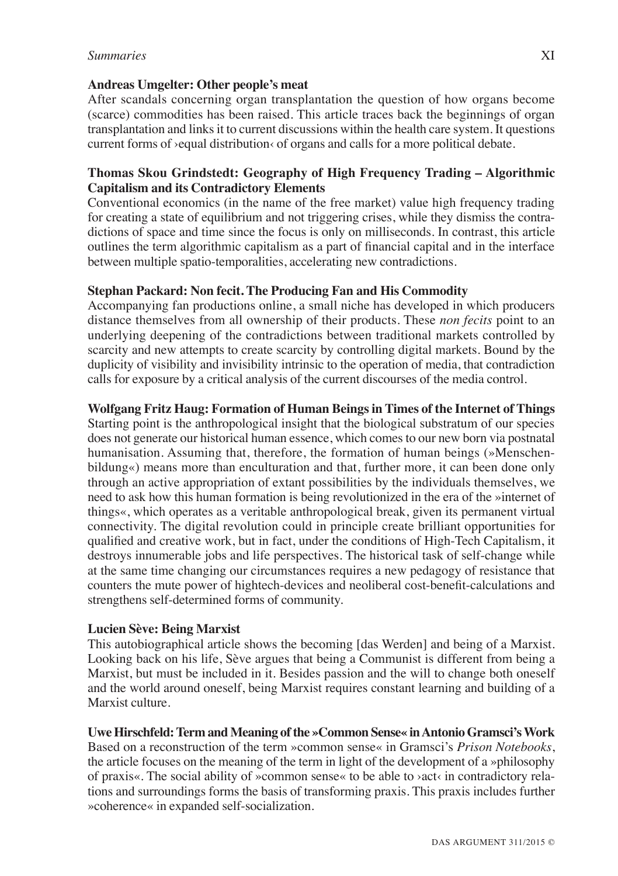#### **Andreas Umgelter: Other people's meat**

After scandals concerning organ transplantation the question of how organs become (scarce) commodities has been raised. This article traces back the beginnings of organ transplantation and links it to current discussions within the health care system. It questions current forms of >equal distribution< of organs and calls for a more political debate.

#### **Thomas Skou Grindstedt: Geography of High Frequency Trading – Algorithmic Capitalism and its Contradictory Elements**

Conventional economics (in the name of the free market) value high frequency trading for creating a state of equilibrium and not triggering crises, while they dismiss the contradictions of space and time since the focus is only on milliseconds. In contrast, this article outlines the term algorithmic capitalism as a part of financial capital and in the interface between multiple spatio-temporalities, accelerating new contradictions.

#### **Stephan Packard: Non fecit. The Producing Fan and His Commodity**

Accompanying fan productions online, a small niche has developed in which producers distance themselves from all ownership of their products. These *non fecits* point to an underlying deepening of the contradictions between traditional markets controlled by scarcity and new attempts to create scarcity by controlling digital markets. Bound by the duplicity of visibility and invisibility intrinsic to the operation of media, that contradiction calls for exposure by a critical analysis of the current discourses of the media control.

#### **Wolfgang Fritz Haug: Formation of Human Beings in Times of the Internet of Things**

Starting point is the anthropological insight that the biological substratum of our species does not generate our historical human essence, which comes to our new born via postnatal humanisation. Assuming that, therefore, the formation of human beings (»Menschenbildung«) means more than enculturation and that, further more, it can been done only through an active appropriation of extant possibilities by the individuals themselves, we need to ask how this human formation is being revolutionized in the era of the »internet of things«, which operates as a veritable anthropological break, given its permanent virtual connectivity. The digital revolution could in principle create brilliant opportunities for qualified and creative work, but in fact, under the conditions of High-Tech Capitalism, it destroys innumerable jobs and life perspectives. The historical task of self-change while at the same time changing our circumstances requires a new pedagogy of resistance that counters the mute power of hightech-devices and neoliberal cost-benefit-calculations and strengthens self-determined forms of community.

#### **Lucien Sève: Being Marxist**

This autobiographical article shows the becoming [das Werden] and being of a Marxist. Looking back on his life, Sève argues that being a Communist is different from being a Marxist, but must be included in it. Besides passion and the will to change both oneself and the world around oneself, being Marxist requires constant learning and building of a Marxist culture.

#### **Uwe Hirschfeld: Term and Meaning of the »Common Sense« in Antonio Gramsci's Work**

Based on a reconstruction of the term »common sense« in Gramsci's *Prison Notebooks*, the article focuses on the meaning of the term in light of the development of a »philosophy of praxis«. The social ability of »common sense« to be able to ›act‹ in contradictory relations and surroundings forms the basis of transforming praxis. This praxis includes further »coherence« in expanded self-socialization.